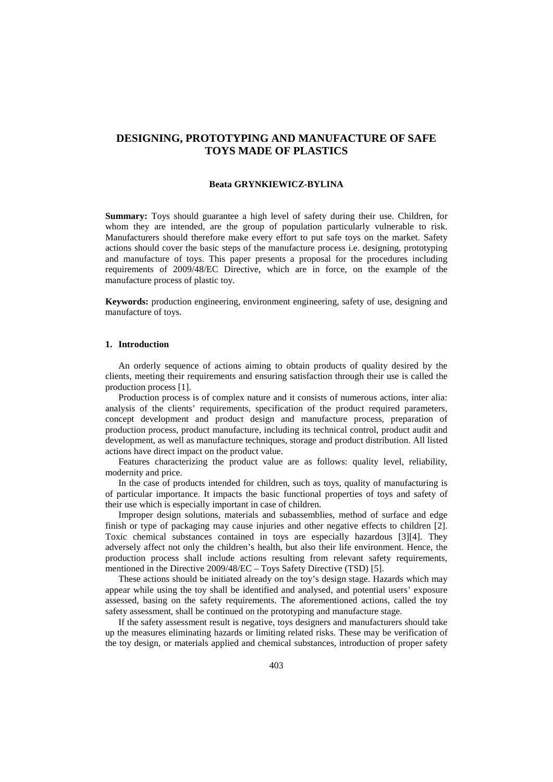# **DESIGNING, PROTOTYPING AND MANUFACTURE OF SAFE TOYS MADE OF PLASTICS**

#### **Beata GRYNKIEWICZ-BYLINA**

**Summary:** Toys should guarantee a high level of safety during their use. Children, for whom they are intended, are the group of population particularly vulnerable to risk. Manufacturers should therefore make every effort to put safe toys on the market. Safety actions should cover the basic steps of the manufacture process i.e. designing, prototyping and manufacture of toys. This paper presents a proposal for the procedures including requirements of 2009/48/EC Directive, which are in force, on the example of the manufacture process of plastic toy.

**Keywords:** production engineering, environment engineering, safety of use, designing and manufacture of toys.

### **1. Introduction**

An orderly sequence of actions aiming to obtain products of quality desired by the clients, meeting their requirements and ensuring satisfaction through their use is called the production process [1].

Production process is of complex nature and it consists of numerous actions, inter alia: analysis of the clients' requirements, specification of the product required parameters, concept development and product design and manufacture process, preparation of production process, product manufacture, including its technical control, product audit and development, as well as manufacture techniques, storage and product distribution. All listed actions have direct impact on the product value.

Features characterizing the product value are as follows: quality level, reliability, modernity and price.

In the case of products intended for children, such as toys, quality of manufacturing is of particular importance. It impacts the basic functional properties of toys and safety of their use which is especially important in case of children.

Improper design solutions, materials and subassemblies, method of surface and edge finish or type of packaging may cause injuries and other negative effects to children [2]. Toxic chemical substances contained in toys are especially hazardous [3][4]. They adversely affect not only the children's health, but also their life environment. Hence, the production process shall include actions resulting from relevant safety requirements, mentioned in the Directive 2009/48/EC – Toys Safety Directive (TSD) [5].

These actions should be initiated already on the toy's design stage. Hazards which may appear while using the toy shall be identified and analysed, and potential users' exposure assessed, basing on the safety requirements. The aforementioned actions, called the toy safety assessment, shall be continued on the prototyping and manufacture stage.

If the safety assessment result is negative, toys designers and manufacturers should take up the measures eliminating hazards or limiting related risks. These may be verification of the toy design, or materials applied and chemical substances, introduction of proper safety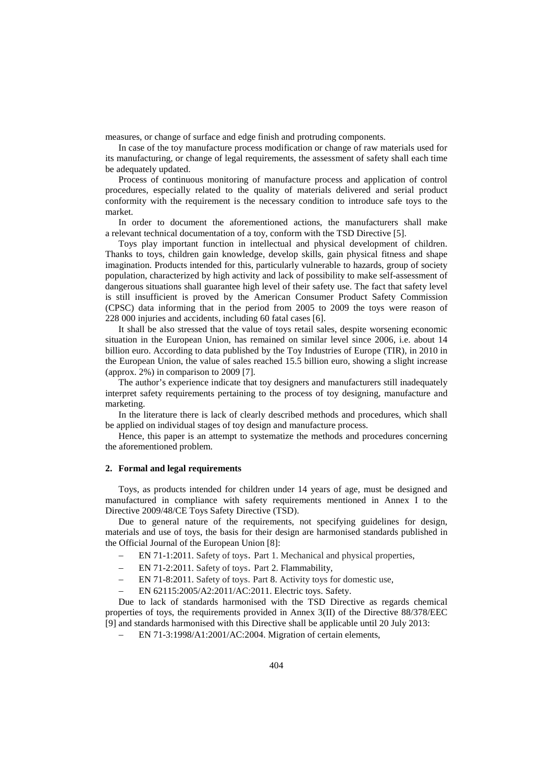measures, or change of surface and edge finish and protruding components.

In case of the toy manufacture process modification or change of raw materials used for its manufacturing, or change of legal requirements, the assessment of safety shall each time be adequately updated.

Process of continuous monitoring of manufacture process and application of control procedures, especially related to the quality of materials delivered and serial product conformity with the requirement is the necessary condition to introduce safe toys to the market.

In order to document the aforementioned actions, the manufacturers shall make a relevant technical documentation of a toy, conform with the TSD Directive [5].

Toys play important function in intellectual and physical development of children. Thanks to toys, children gain knowledge, develop skills, gain physical fitness and shape imagination. Products intended for this, particularly vulnerable to hazards, group of society population, characterized by high activity and lack of possibility to make self-assessment of dangerous situations shall guarantee high level of their safety use. The fact that safety level is still insufficient is proved by the American Consumer Product Safety Commission (CPSC) data informing that in the period from 2005 to 2009 the toys were reason of 228 000 injuries and accidents, including 60 fatal cases [6].

It shall be also stressed that the value of toys retail sales, despite worsening economic situation in the European Union, has remained on similar level since 2006, i.e. about 14 billion euro. According to data published by the Toy Industries of Europe (TIR), in 2010 in the European Union, the value of sales reached 15.5 billion euro, showing a slight increase (approx. 2%) in comparison to 2009 [7].

The author's experience indicate that toy designers and manufacturers still inadequately interpret safety requirements pertaining to the process of toy designing, manufacture and marketing.

In the literature there is lack of clearly described methods and procedures, which shall be applied on individual stages of toy design and manufacture process.

Hence, this paper is an attempt to systematize the methods and procedures concerning the aforementioned problem.

#### **2. Formal and legal requirements**

Toys, as products intended for children under 14 years of age, must be designed and manufactured in compliance with safety requirements mentioned in Annex I to the Directive 2009/48/CE Toys Safety Directive (TSD).

Due to general nature of the requirements, not specifying guidelines for design, materials and use of toys, the basis for their design are harmonised standards published in the Official Journal of the European Union [8]:

- − EN 71-1:2011. Safety of toys. Part 1. Mechanical and physical properties,
- − EN 71-2:2011. Safety of toys. Part 2. Flammability,
- − EN 71-8:2011. Safety of toys. Part 8. Activity toys for domestic use,
- − EN 62115:2005/A2:2011/AC:2011. Electric toys. Safety.

Due to lack of standards harmonised with the TSD Directive as regards chemical properties of toys, the requirements provided in Annex 3(II) of the Directive 88/378/EEC [9] and standards harmonised with this Directive shall be applicable until 20 July 2013:

− EN 71-3:1998/A1:2001/AC:2004. Migration of certain elements,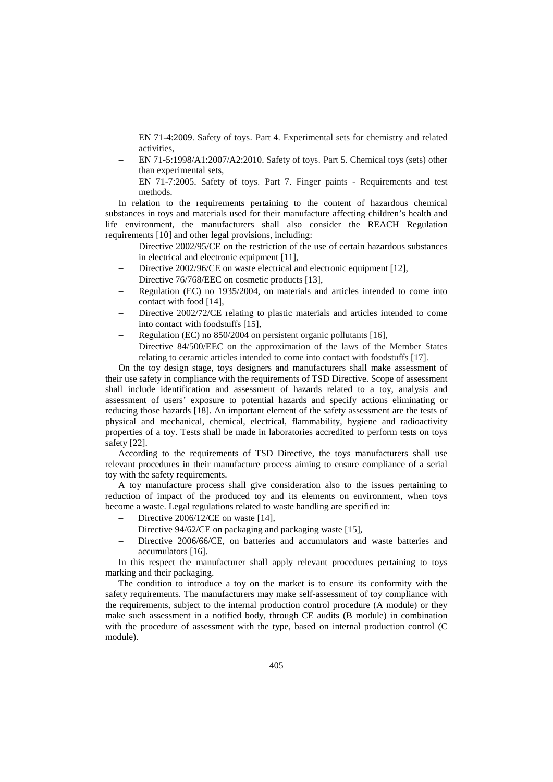- − EN 71-4:2009. Safety of toys. Part 4. Experimental sets for chemistry and related activities,
- − EN 71-5:1998/A1:2007/A2:2010. Safety of toys. Part 5. Chemical toys (sets) other than experimental sets,
- EN 71-7:2005. Safety of toys. Part 7. Finger paints Requirements and test methods.

In relation to the requirements pertaining to the content of hazardous chemical substances in toys and materials used for their manufacture affecting children's health and life environment, the manufacturers shall also consider the REACH Regulation requirements [10] and other legal provisions, including:

- Directive 2002/95/CE on the restriction of the use of certain hazardous substances in electrical and electronic equipment [11],
- Directive 2002/96/CE on waste electrical and electronic equipment [12],
- Directive 76/768/EEC on cosmetic products [13],
- − Regulation (EC) no 1935/2004, on materials and articles intended to come into contact with food [14],
- Directive 2002/72/CE relating to plastic materials and articles intended to come into contact with foodstuffs [15],
- − Regulation (EC) no 850/2004 on persistent organic pollutants [16],
- Directive 84/500/EEC on the approximation of the laws of the Member States relating to ceramic articles intended to come into contact with foodstuffs [17].

On the toy design stage, toys designers and manufacturers shall make assessment of their use safety in compliance with the requirements of TSD Directive. Scope of assessment shall include identification and assessment of hazards related to a toy, analysis and assessment of users' exposure to potential hazards and specify actions eliminating or reducing those hazards [18]. An important element of the safety assessment are the tests of physical and mechanical, chemical, electrical, flammability, hygiene and radioactivity properties of a toy. Tests shall be made in laboratories accredited to perform tests on toys safety [22].

According to the requirements of TSD Directive, the toys manufacturers shall use relevant procedures in their manufacture process aiming to ensure compliance of a serial toy with the safety requirements.

A toy manufacture process shall give consideration also to the issues pertaining to reduction of impact of the produced toy and its elements on environment, when toys become a waste. Legal regulations related to waste handling are specified in:

- − Directive 2006/12/CE on waste [14],
- Directive 94/62/CE on packaging and packaging waste [15],
- Directive 2006/66/CE, on batteries and accumulators and waste batteries and accumulators [16].

In this respect the manufacturer shall apply relevant procedures pertaining to toys marking and their packaging.

The condition to introduce a toy on the market is to ensure its conformity with the safety requirements. The manufacturers may make self-assessment of toy compliance with the requirements, subject to the internal production control procedure (A module) or they make such assessment in a notified body, through CE audits (B module) in combination with the procedure of assessment with the type, based on internal production control (C module).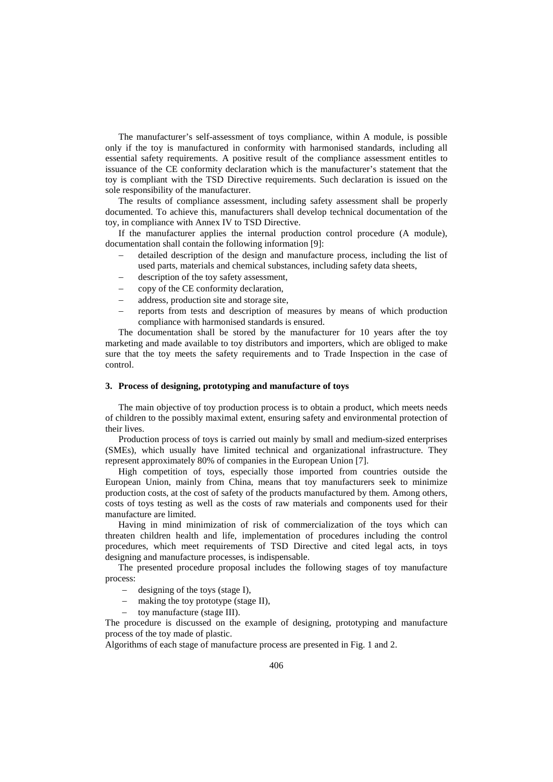The manufacturer's self-assessment of toys compliance, within A module, is possible only if the toy is manufactured in conformity with harmonised standards, including all essential safety requirements. A positive result of the compliance assessment entitles to issuance of the CE conformity declaration which is the manufacturer's statement that the toy is compliant with the TSD Directive requirements. Such declaration is issued on the sole responsibility of the manufacturer.

The results of compliance assessment, including safety assessment shall be properly documented. To achieve this, manufacturers shall develop technical documentation of the toy, in compliance with Annex IV to TSD Directive.

If the manufacturer applies the internal production control procedure (A module), documentation shall contain the following information [9]:

- − detailed description of the design and manufacture process, including the list of used parts, materials and chemical substances, including safety data sheets,
- − description of the toy safety assessment,
- − copy of the CE conformity declaration,
- − address, production site and storage site,
- − reports from tests and description of measures by means of which production compliance with harmonised standards is ensured.

The documentation shall be stored by the manufacturer for 10 years after the toy marketing and made available to toy distributors and importers, which are obliged to make sure that the toy meets the safety requirements and to Trade Inspection in the case of control.

# **3. Process of designing, prototyping and manufacture of toys**

The main objective of toy production process is to obtain a product, which meets needs of children to the possibly maximal extent, ensuring safety and environmental protection of their lives.

Production process of toys is carried out mainly by small and medium-sized enterprises (SMEs), which usually have limited technical and organizational infrastructure. They represent approximately 80% of companies in the European Union [7].

High competition of toys, especially those imported from countries outside the European Union, mainly from China, means that toy manufacturers seek to minimize production costs, at the cost of safety of the products manufactured by them. Among others, costs of toys testing as well as the costs of raw materials and components used for their manufacture are limited.

Having in mind minimization of risk of commercialization of the toys which can threaten children health and life, implementation of procedures including the control procedures, which meet requirements of TSD Directive and cited legal acts, in toys designing and manufacture processes, is indispensable.

The presented procedure proposal includes the following stages of toy manufacture process:

- designing of the toys (stage I),
- − making the toy prototype (stage II),
- toy manufacture (stage III).

The procedure is discussed on the example of designing, prototyping and manufacture process of the toy made of plastic.

Algorithms of each stage of manufacture process are presented in Fig. 1 and 2.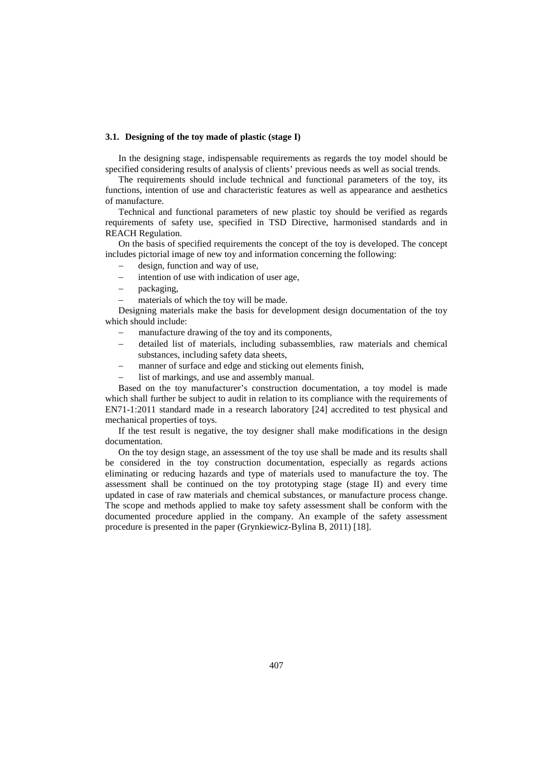# **3.1. Designing of the toy made of plastic (stage I)**

In the designing stage, indispensable requirements as regards the toy model should be specified considering results of analysis of clients' previous needs as well as social trends.

The requirements should include technical and functional parameters of the toy, its functions, intention of use and characteristic features as well as appearance and aesthetics of manufacture.

Technical and functional parameters of new plastic toy should be verified as regards requirements of safety use, specified in TSD Directive, harmonised standards and in REACH Regulation.

On the basis of specified requirements the concept of the toy is developed. The concept includes pictorial image of new toy and information concerning the following:

- − design, function and way of use,
- intention of use with indication of user age,
- − packaging,
- materials of which the toy will be made.

Designing materials make the basis for development design documentation of the toy which should include:

- manufacture drawing of the toy and its components,
- − detailed list of materials, including subassemblies, raw materials and chemical substances, including safety data sheets,
- manner of surface and edge and sticking out elements finish,
- list of markings, and use and assembly manual.

Based on the toy manufacturer's construction documentation, a toy model is made which shall further be subject to audit in relation to its compliance with the requirements of EN71-1:2011 standard made in a research laboratory [24] accredited to test physical and mechanical properties of toys.

If the test result is negative, the toy designer shall make modifications in the design documentation.

On the toy design stage, an assessment of the toy use shall be made and its results shall be considered in the toy construction documentation, especially as regards actions eliminating or reducing hazards and type of materials used to manufacture the toy. The assessment shall be continued on the toy prototyping stage (stage II) and every time updated in case of raw materials and chemical substances, or manufacture process change. The scope and methods applied to make toy safety assessment shall be conform with the documented procedure applied in the company. An example of the safety assessment procedure is presented in the paper (Grynkiewicz-Bylina B, 2011) [18].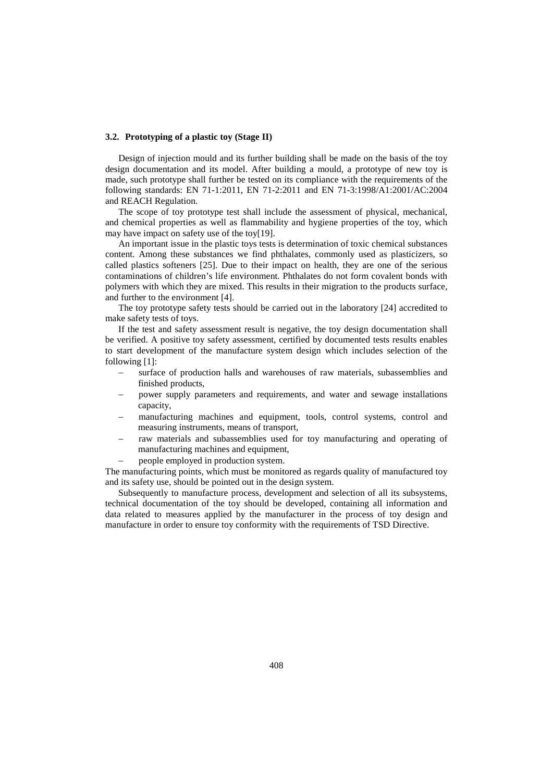#### **3.2. Prototyping of a plastic toy (Stage II)**

Design of injection mould and its further building shall be made on the basis of the toy design documentation and its model. After building a mould, a prototype of new toy is made, such prototype shall further be tested on its compliance with the requirements of the following standards: EN 71-1:2011, EN 71-2:2011 and EN 71-3:1998/A1:2001/AC:2004 and REACH Regulation.

The scope of toy prototype test shall include the assessment of physical, mechanical, and chemical properties as well as flammability and hygiene properties of the toy, which may have impact on safety use of the toy[19].

An important issue in the plastic toys tests is determination of toxic chemical substances content. Among these substances we find phthalates, commonly used as plasticizers, so called plastics softeners [25]. Due to their impact on health, they are one of the serious contaminations of children's life environment. Phthalates do not form covalent bonds with polymers with which they are mixed. This results in their migration to the products surface, and further to the environment [4].

The toy prototype safety tests should be carried out in the laboratory [24] accredited to make safety tests of toys.

If the test and safety assessment result is negative, the toy design documentation shall be verified. A positive toy safety assessment, certified by documented tests results enables to start development of the manufacture system design which includes selection of the following [1]:

- surface of production halls and warehouses of raw materials, subassemblies and finished products,
- power supply parameters and requirements, and water and sewage installations capacity,
- manufacturing machines and equipment, tools, control systems, control and measuring instruments, means of transport,
- raw materials and subassemblies used for toy manufacturing and operating of manufacturing machines and equipment,
- people employed in production system.

The manufacturing points, which must be monitored as regards quality of manufactured toy and its safety use, should be pointed out in the design system.

Subsequently to manufacture process, development and selection of all its subsystems, technical documentation of the toy should be developed, containing all information and data related to measures applied by the manufacturer in the process of toy design and manufacture in order to ensure toy conformity with the requirements of TSD Directive.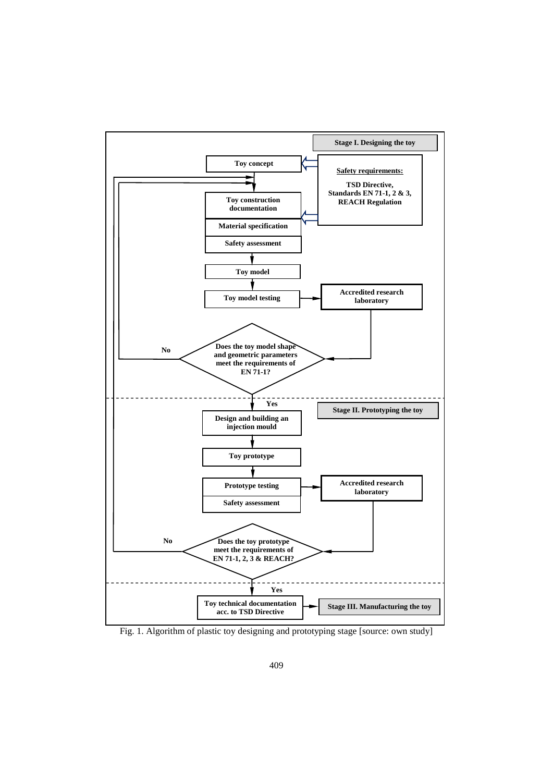

Fig. 1. Algorithm of plastic toy designing and prototyping stage [source: own study]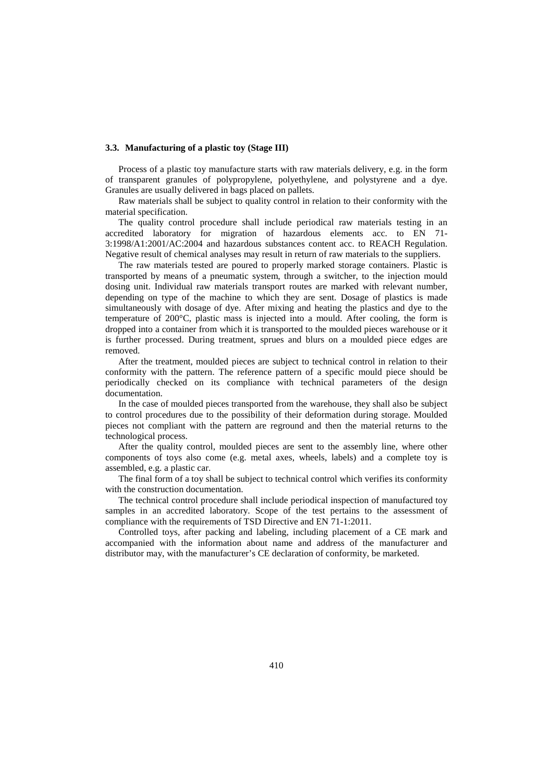#### **3.3. Manufacturing of a plastic toy (Stage III)**

Process of a plastic toy manufacture starts with raw materials delivery, e.g. in the form of transparent granules of polypropylene, polyethylene, and polystyrene and a dye. Granules are usually delivered in bags placed on pallets.

Raw materials shall be subject to quality control in relation to their conformity with the material specification.

The quality control procedure shall include periodical raw materials testing in an accredited laboratory for migration of hazardous elements acc. to EN 71- 3:1998/A1:2001/AC:2004 and hazardous substances content acc. to REACH Regulation. Negative result of chemical analyses may result in return of raw materials to the suppliers.

The raw materials tested are poured to properly marked storage containers. Plastic is transported by means of a pneumatic system, through a switcher, to the injection mould dosing unit. Individual raw materials transport routes are marked with relevant number, depending on type of the machine to which they are sent. Dosage of plastics is made simultaneously with dosage of dye. After mixing and heating the plastics and dye to the temperature of 200°C, plastic mass is injected into a mould. After cooling, the form is dropped into a container from which it is transported to the moulded pieces warehouse or it is further processed. During treatment, sprues and blurs on a moulded piece edges are removed.

After the treatment, moulded pieces are subject to technical control in relation to their conformity with the pattern. The reference pattern of a specific mould piece should be periodically checked on its compliance with technical parameters of the design documentation.

In the case of moulded pieces transported from the warehouse, they shall also be subject to control procedures due to the possibility of their deformation during storage. Moulded pieces not compliant with the pattern are reground and then the material returns to the technological process.

After the quality control, moulded pieces are sent to the assembly line, where other components of toys also come (e.g. metal axes, wheels, labels) and a complete toy is assembled, e.g. a plastic car.

The final form of a toy shall be subject to technical control which verifies its conformity with the construction documentation.

The technical control procedure shall include periodical inspection of manufactured toy samples in an accredited laboratory. Scope of the test pertains to the assessment of compliance with the requirements of TSD Directive and EN 71-1:2011.

Controlled toys, after packing and labeling, including placement of a CE mark and accompanied with the information about name and address of the manufacturer and distributor may, with the manufacturer's CE declaration of conformity, be marketed.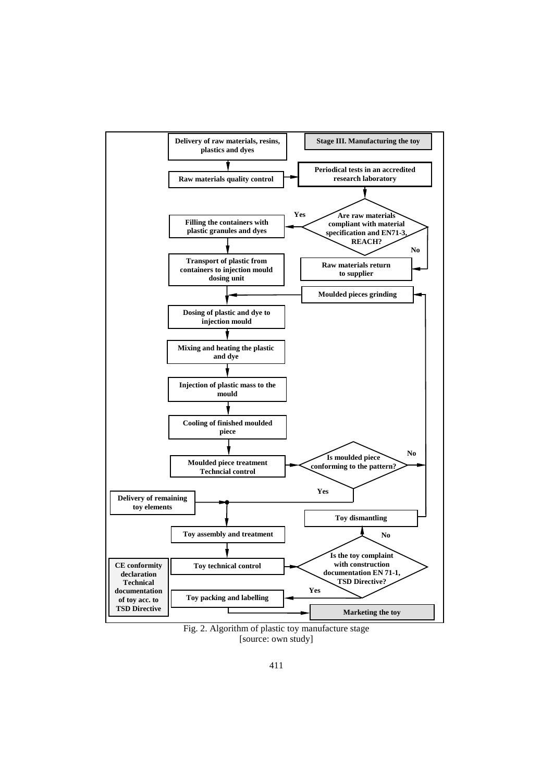

Fig. 2. Algorithm of plastic toy manufacture stage [source: own study]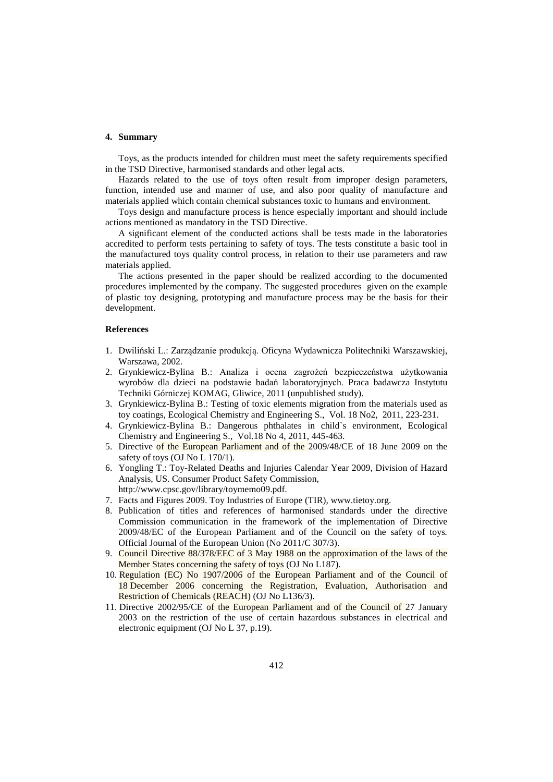## **4. Summary**

Toys, as the products intended for children must meet the safety requirements specified in the TSD Directive, harmonised standards and other legal acts.

Hazards related to the use of toys often result from improper design parameters, function, intended use and manner of use, and also poor quality of manufacture and materials applied which contain chemical substances toxic to humans and environment.

Toys design and manufacture process is hence especially important and should include actions mentioned as mandatory in the TSD Directive.

A significant element of the conducted actions shall be tests made in the laboratories accredited to perform tests pertaining to safety of toys. The tests constitute a basic tool in the manufactured toys quality control process, in relation to their use parameters and raw materials applied.

The actions presented in the paper should be realized according to the documented procedures implemented by the company. The suggested procedures given on the example of plastic toy designing, prototyping and manufacture process may be the basis for their development.

## **References**

- 1. Dwiliński L.: Zarządzanie produkcją. Oficyna Wydawnicza Politechniki Warszawskiej, Warszawa, 2002.
- 2. Grynkiewicz-Bylina B.: Analiza i ocena zagrożeń bezpieczeństwa użytkowania wyrobów dla dzieci na podstawie badań laboratoryjnych. Praca badawcza Instytutu Techniki Górniczej KOMAG, Gliwice, 2011 (unpublished study).
- 3. Grynkiewicz-Bylina B.: Testing of toxic elements migration from the materials used as toy coatings, Ecological Chemistry and Engineering S., Vol. 18 No2, 2011, 223-231.
- 4. Grynkiewicz-Bylina B.: Dangerous phthalates in child`s environment, Ecological Chemistry and Engineering S., Vol.18 No 4, 2011, 445-463.
- 5. Directive of the European Parliament and of the 2009/48/CE of 18 June 2009 on the safety of toys (OJ No L 170/1).
- 6. Yongling T.: Toy-Related Deaths and Injuries Calendar Year 2009, Division of Hazard Analysis, US. Consumer Product Safety Commission, http://www.cpsc.gov/library/toymemo09.pdf.
- 7. Facts and Figures 2009. Toy Industries of Europe (TIR), www.tietoy.org.
- 8. Publication of titles and references of harmonised standards under the directive Commission communication in the framework of the implementation of Directive 2009/48/EC of the European Parliament and of the Council on the safety of toys*.*  Official Journal of the European Union (No 2011/C 307/3).
- 9. Council Directive 88/378/EEC of 3 May 1988 on the approximation of the laws of the Member States concerning the safety of toys (OJ No L187).
- 10. Regulation (EC) No 1907/2006 of the European Parliament and of the Council of 18 December 2006 concerning the Registration, Evaluation, Authorisation and Restriction of Chemicals (REACH) (OJ No L136/3).
- 11. Directive 2002/95/CE of the European Parliament and of the Council of 27 January 2003 on the restriction of the use of certain hazardous substances in electrical and electronic equipment (OJ No L 37, p.19).